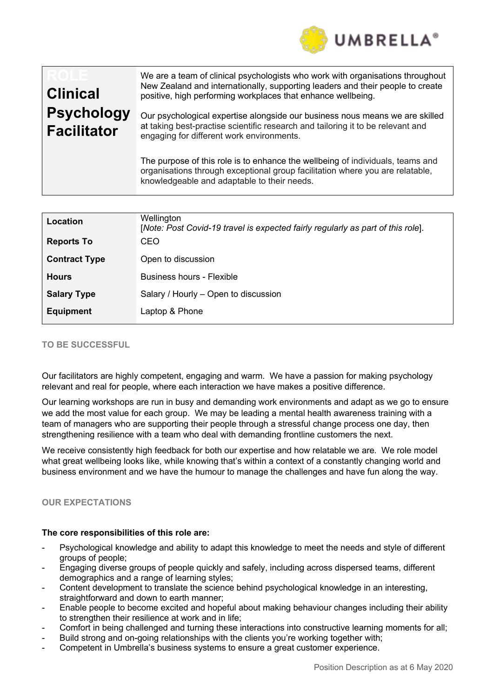

| <b>Clinical</b><br><b>Psychology</b><br><b>Facilitator</b> | We are a team of clinical psychologists who work with organisations throughout<br>New Zealand and internationally, supporting leaders and their people to create<br>positive, high performing workplaces that enhance wellbeing.<br>Our psychological expertise alongside our business nous means we are skilled<br>at taking best-practise scientific research and tailoring it to be relevant and |
|------------------------------------------------------------|-----------------------------------------------------------------------------------------------------------------------------------------------------------------------------------------------------------------------------------------------------------------------------------------------------------------------------------------------------------------------------------------------------|
|                                                            | engaging for different work environments.<br>The purpose of this role is to enhance the wellbeing of individuals, teams and<br>organisations through exceptional group facilitation where you are relatable,<br>knowledgeable and adaptable to their needs.                                                                                                                                         |

| Location<br><b>Reports To</b> | Wellington<br>[Note: Post Covid-19 travel is expected fairly regularly as part of this role].<br><b>CEO</b> |
|-------------------------------|-------------------------------------------------------------------------------------------------------------|
| <b>Contract Type</b>          | Open to discussion                                                                                          |
| <b>Hours</b>                  | Business hours - Flexible                                                                                   |
| <b>Salary Type</b>            | Salary / Hourly - Open to discussion                                                                        |
| <b>Equipment</b>              | Laptop & Phone                                                                                              |

# **TO BE SUCCESSFUL**

Our facilitators are highly competent, engaging and warm. We have a passion for making psychology relevant and real for people, where each interaction we have makes a positive difference.

Our learning workshops are run in busy and demanding work environments and adapt as we go to ensure we add the most value for each group. We may be leading a mental health awareness training with a team of managers who are supporting their people through a stressful change process one day, then strengthening resilience with a team who deal with demanding frontline customers the next.

We receive consistently high feedback for both our expertise and how relatable we are. We role model what great wellbeing looks like, while knowing that's within a context of a constantly changing world and business environment and we have the humour to manage the challenges and have fun along the way.

# **OUR EXPECTATIONS**

#### **The core responsibilities of this role are:**

- Psychological knowledge and ability to adapt this knowledge to meet the needs and style of different groups of people;
- Engaging diverse groups of people quickly and safely, including across dispersed teams, different demographics and a range of learning styles;
- Content development to translate the science behind psychological knowledge in an interesting, straightforward and down to earth manner;
- Enable people to become excited and hopeful about making behaviour changes including their ability to strengthen their resilience at work and in life;
- Comfort in being challenged and turning these interactions into constructive learning moments for all;
- Build strong and on-going relationships with the clients you're working together with;
- Competent in Umbrella's business systems to ensure a great customer experience.